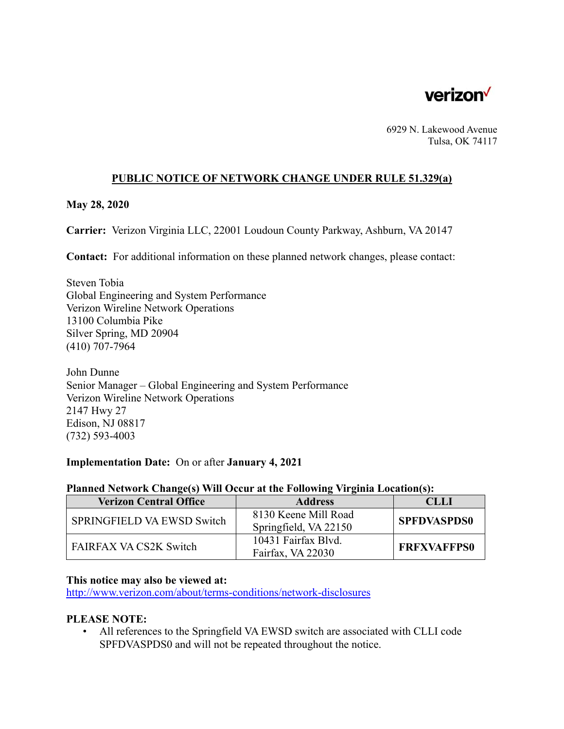

6929 N. Lakewood Avenue Tulsa, OK 74117

### **PUBLIC NOTICE OF NETWORK CHANGE UNDER RULE 51.329(a)**

#### **May 28, 2020**

**Carrier:** Verizon Virginia LLC, 22001 Loudoun County Parkway, Ashburn, VA 20147

**Contact:** For additional information on these planned network changes, please contact:

Steven Tobia Global Engineering and System Performance Verizon Wireline Network Operations 13100 Columbia Pike Silver Spring, MD 20904 (410) 707-7964

John Dunne Senior Manager – Global Engineering and System Performance Verizon Wireline Network Operations 2147 Hwy 27 Edison, NJ 08817 (732) 593-4003

#### **Implementation Date:** On or after **January 4, 2021**

#### **Planned Network Change(s) Will Occur at the Following Virginia Location(s):**

| <b>Verizon Central Office</b> | <b>Address</b>                                | CLLI               |
|-------------------------------|-----------------------------------------------|--------------------|
| SPRINGFIELD VA EWSD Switch    | 8130 Keene Mill Road<br>Springfield, VA 22150 | <b>SPFDVASPDS0</b> |
| FAIRFAX VA CS2K Switch        | 10431 Fairfax Blvd.<br>Fairfax, VA 22030      | <b>FREXVAFFPS0</b> |

#### **This notice may also be viewed at:**

http://www.verizon.com/about/terms-conditions/network-disclosures

#### **PLEASE NOTE:**

• All references to the Springfield VA EWSD switch are associated with CLLI code SPFDVASPDS0 and will not be repeated throughout the notice.